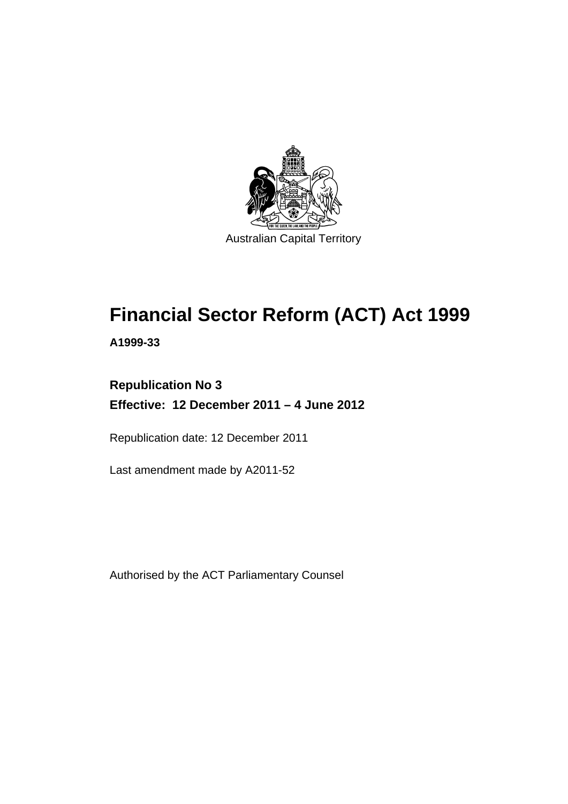

# **Financial Sector Reform (ACT) Act 1999**

**A1999-33** 

# **Republication No 3 Effective: 12 December 2011 – 4 June 2012**

Republication date: 12 December 2011

Last amendment made by A2011-52

Authorised by the ACT Parliamentary Counsel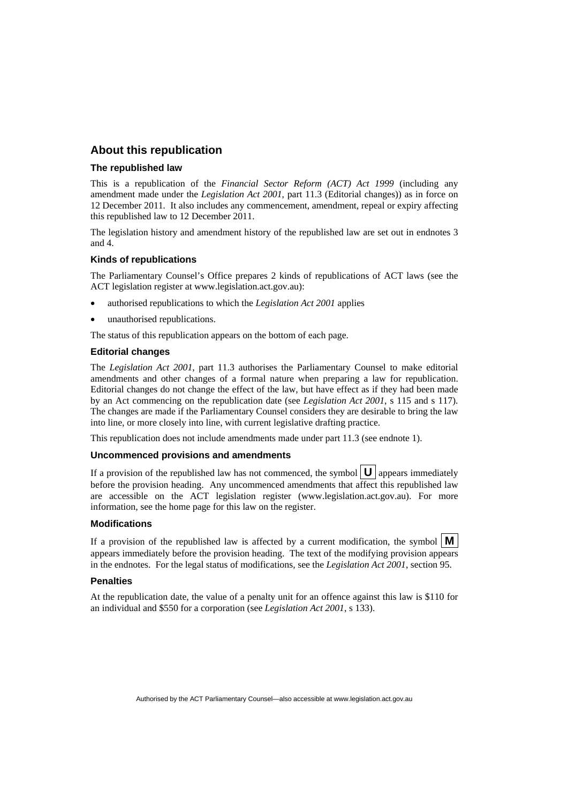## **About this republication**

#### **The republished law**

This is a republication of the *Financial Sector Reform (ACT) Act 1999* (including any amendment made under the *Legislation Act 2001*, part 11.3 (Editorial changes)) as in force on 12 December 2011*.* It also includes any commencement, amendment, repeal or expiry affecting this republished law to 12 December 2011.

The legislation history and amendment history of the republished law are set out in endnotes 3 and 4.

#### **Kinds of republications**

The Parliamentary Counsel's Office prepares 2 kinds of republications of ACT laws (see the ACT legislation register at www.legislation.act.gov.au):

- authorised republications to which the *Legislation Act 2001* applies
- unauthorised republications.

The status of this republication appears on the bottom of each page.

#### **Editorial changes**

The *Legislation Act 2001*, part 11.3 authorises the Parliamentary Counsel to make editorial amendments and other changes of a formal nature when preparing a law for republication. Editorial changes do not change the effect of the law, but have effect as if they had been made by an Act commencing on the republication date (see *Legislation Act 2001*, s 115 and s 117). The changes are made if the Parliamentary Counsel considers they are desirable to bring the law into line, or more closely into line, with current legislative drafting practice.

This republication does not include amendments made under part 11.3 (see endnote 1).

#### **Uncommenced provisions and amendments**

If a provision of the republished law has not commenced, the symbol  $\mathbf{U}$  appears immediately before the provision heading. Any uncommenced amendments that affect this republished law are accessible on the ACT legislation register (www.legislation.act.gov.au). For more information, see the home page for this law on the register.

#### **Modifications**

If a provision of the republished law is affected by a current modification, the symbol  $\mathbf{M}$ appears immediately before the provision heading. The text of the modifying provision appears in the endnotes. For the legal status of modifications, see the *Legislation Act 2001*, section 95.

#### **Penalties**

At the republication date, the value of a penalty unit for an offence against this law is \$110 for an individual and \$550 for a corporation (see *Legislation Act 2001*, s 133).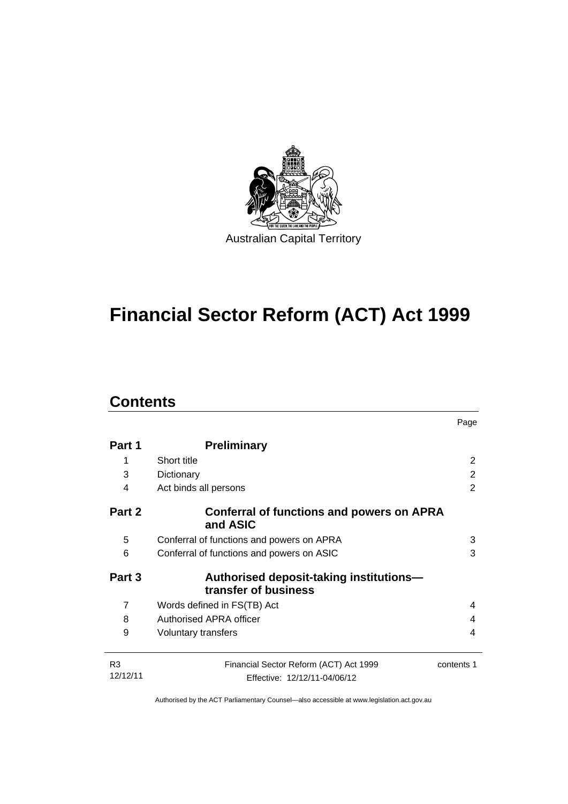

# **Financial Sector Reform (ACT) Act 1999**

# **Contents**

|                |                                                                 | Page       |  |  |  |
|----------------|-----------------------------------------------------------------|------------|--|--|--|
| Part 1         | <b>Preliminary</b>                                              |            |  |  |  |
| 1              | Short title                                                     | 2          |  |  |  |
| 3              | Dictionary<br>Act binds all persons                             |            |  |  |  |
| 4              |                                                                 |            |  |  |  |
| Part 2         | Conferral of functions and powers on APRA<br>and ASIC           |            |  |  |  |
| 5              | Conferral of functions and powers on APRA                       | 3          |  |  |  |
| 6              | Conferral of functions and powers on ASIC                       |            |  |  |  |
| Part 3         | Authorised deposit-taking institutions—<br>transfer of business |            |  |  |  |
| $\overline{7}$ | Words defined in FS(TB) Act                                     | 4          |  |  |  |
| 8              | Authorised APRA officer                                         |            |  |  |  |
| 9              | Voluntary transfers                                             |            |  |  |  |
| R <sub>3</sub> | Financial Sector Reform (ACT) Act 1999                          | contents 1 |  |  |  |
| 12/12/11       | Effective: 12/12/11-04/06/12                                    |            |  |  |  |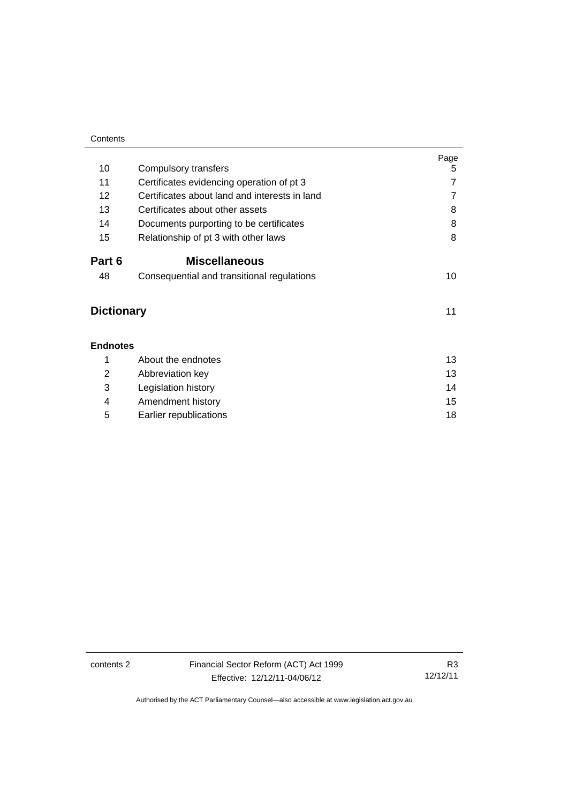| Contents          |                                               |      |  |  |  |
|-------------------|-----------------------------------------------|------|--|--|--|
|                   |                                               | Page |  |  |  |
| 10                | Compulsory transfers                          | 5    |  |  |  |
| 11                | Certificates evidencing operation of pt 3     | 7    |  |  |  |
| 12                | Certificates about land and interests in land |      |  |  |  |
| 13                | Certificates about other assets               |      |  |  |  |
| 14                | Documents purporting to be certificates       |      |  |  |  |
| 15                | Relationship of pt 3 with other laws          | 8    |  |  |  |
| Part 6            | <b>Miscellaneous</b>                          |      |  |  |  |
| 48                | Consequential and transitional regulations    | 10   |  |  |  |
| <b>Dictionary</b> | 11                                            |      |  |  |  |
| <b>Endnotes</b>   |                                               |      |  |  |  |
| 1                 | About the endnotes                            | 13   |  |  |  |
| 2                 | Abbreviation key                              | 13   |  |  |  |
| 3                 | Legislation history                           | 14   |  |  |  |
| 4                 | Amendment history                             | 15   |  |  |  |
| 5                 | Earlier republications                        | 18   |  |  |  |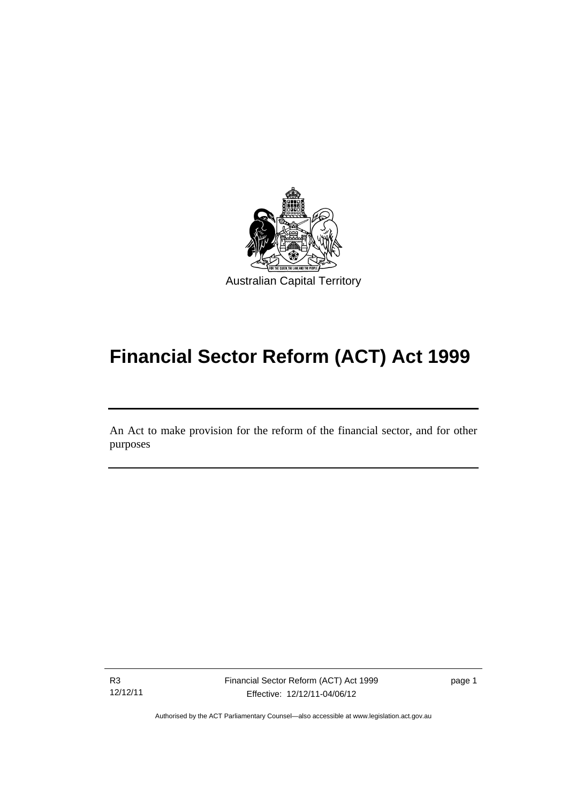

# **Financial Sector Reform (ACT) Act 1999**

An Act to make provision for the reform of the financial sector, and for other purposes

R3 12/12/11

l

Financial Sector Reform (ACT) Act 1999 Effective: 12/12/11-04/06/12

page 1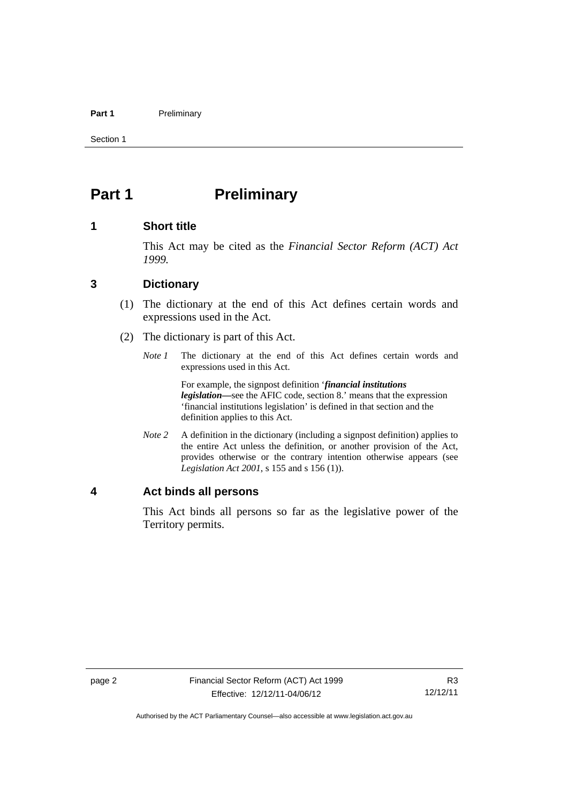#### Part 1 **Preliminary**

Section 1

# <span id="page-5-0"></span>**Part 1** Preliminary

### <span id="page-5-1"></span>**1 Short title**

This Act may be cited as the *Financial Sector Reform (ACT) Act 1999.*

### <span id="page-5-2"></span>**3 Dictionary**

- (1) The dictionary at the end of this Act defines certain words and expressions used in the Act.
- (2) The dictionary is part of this Act.
	- *Note 1* The dictionary at the end of this Act defines certain words and expressions used in this Act.

 For example, the signpost definition '*financial institutions legislation—*see the AFIC code, section 8.' means that the expression 'financial institutions legislation' is defined in that section and the definition applies to this Act.

*Note 2* A definition in the dictionary (including a signpost definition) applies to the entire Act unless the definition, or another provision of the Act, provides otherwise or the contrary intention otherwise appears (see *Legislation Act 2001*, s 155 and s 156 (1)).

## <span id="page-5-3"></span>**4 Act binds all persons**

This Act binds all persons so far as the legislative power of the Territory permits.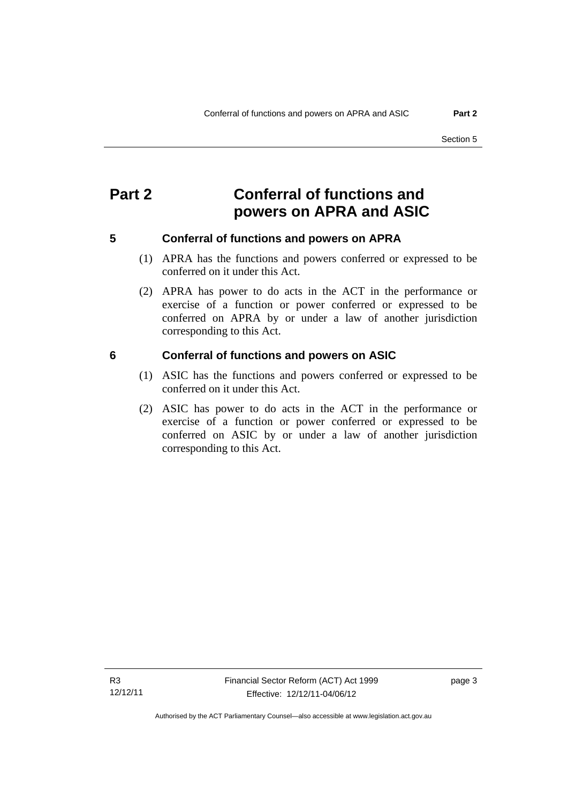# <span id="page-6-0"></span>**Part 2 Conferral of functions and powers on APRA and ASIC**

<span id="page-6-1"></span>

## **5 Conferral of functions and powers on APRA**

- (1) APRA has the functions and powers conferred or expressed to be conferred on it under this Act.
- (2) APRA has power to do acts in the ACT in the performance or exercise of a function or power conferred or expressed to be conferred on APRA by or under a law of another jurisdiction corresponding to this Act.

### <span id="page-6-2"></span>**6 Conferral of functions and powers on ASIC**

- (1) ASIC has the functions and powers conferred or expressed to be conferred on it under this Act.
- (2) ASIC has power to do acts in the ACT in the performance or exercise of a function or power conferred or expressed to be conferred on ASIC by or under a law of another jurisdiction corresponding to this Act.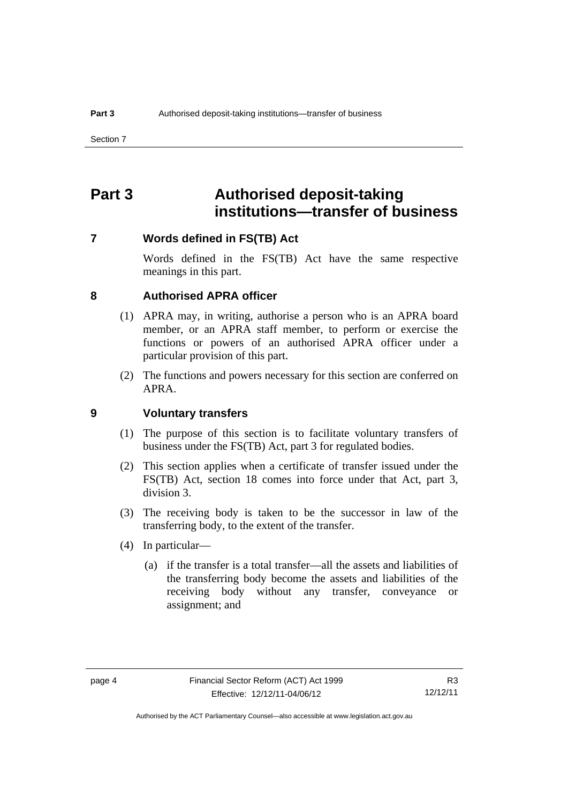# <span id="page-7-0"></span>**Part 3 Authorised deposit-taking institutions—transfer of business**

#### <span id="page-7-1"></span>**7 Words defined in FS(TB) Act**

Words defined in the FS(TB) Act have the same respective meanings in this part.

#### <span id="page-7-2"></span>**8 Authorised APRA officer**

- (1) APRA may, in writing, authorise a person who is an APRA board member, or an APRA staff member, to perform or exercise the functions or powers of an authorised APRA officer under a particular provision of this part.
- (2) The functions and powers necessary for this section are conferred on APRA.

### <span id="page-7-3"></span>**9 Voluntary transfers**

- (1) The purpose of this section is to facilitate voluntary transfers of business under the FS(TB) Act, part 3 for regulated bodies.
- (2) This section applies when a certificate of transfer issued under the FS(TB) Act, section 18 comes into force under that Act, part 3, division 3.
- (3) The receiving body is taken to be the successor in law of the transferring body, to the extent of the transfer.
- (4) In particular—
	- (a) if the transfer is a total transfer—all the assets and liabilities of the transferring body become the assets and liabilities of the receiving body without any transfer, conveyance or assignment; and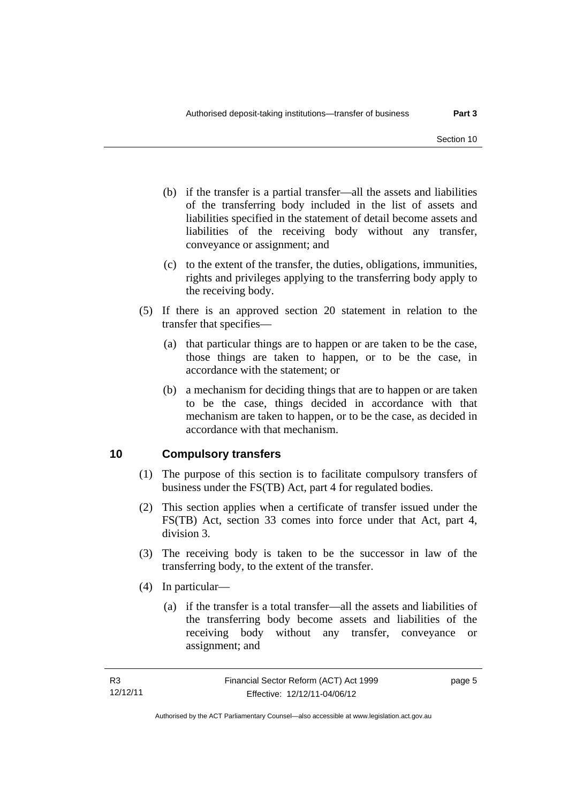- (b) if the transfer is a partial transfer—all the assets and liabilities of the transferring body included in the list of assets and liabilities specified in the statement of detail become assets and liabilities of the receiving body without any transfer, conveyance or assignment; and
- (c) to the extent of the transfer, the duties, obligations, immunities, rights and privileges applying to the transferring body apply to the receiving body.
- (5) If there is an approved section 20 statement in relation to the transfer that specifies—
	- (a) that particular things are to happen or are taken to be the case, those things are taken to happen, or to be the case, in accordance with the statement; or
	- (b) a mechanism for deciding things that are to happen or are taken to be the case, things decided in accordance with that mechanism are taken to happen, or to be the case, as decided in accordance with that mechanism.

# <span id="page-8-0"></span>**10 Compulsory transfers**

- (1) The purpose of this section is to facilitate compulsory transfers of business under the FS(TB) Act, part 4 for regulated bodies.
- (2) This section applies when a certificate of transfer issued under the FS(TB) Act, section 33 comes into force under that Act, part 4, division 3.
- (3) The receiving body is taken to be the successor in law of the transferring body, to the extent of the transfer.
- (4) In particular—
	- (a) if the transfer is a total transfer—all the assets and liabilities of the transferring body become assets and liabilities of the receiving body without any transfer, conveyance or assignment; and

page 5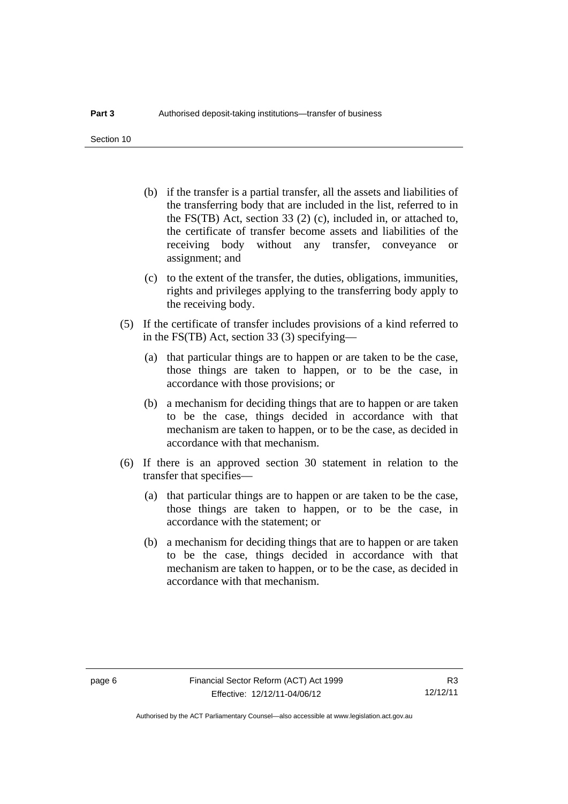Section 10

- (b) if the transfer is a partial transfer, all the assets and liabilities of the transferring body that are included in the list, referred to in the FS(TB) Act, section 33 (2) (c), included in, or attached to, the certificate of transfer become assets and liabilities of the receiving body without any transfer, conveyance or assignment; and
- (c) to the extent of the transfer, the duties, obligations, immunities, rights and privileges applying to the transferring body apply to the receiving body.
- (5) If the certificate of transfer includes provisions of a kind referred to in the FS(TB) Act, section 33 (3) specifying—
	- (a) that particular things are to happen or are taken to be the case, those things are taken to happen, or to be the case, in accordance with those provisions; or
	- (b) a mechanism for deciding things that are to happen or are taken to be the case, things decided in accordance with that mechanism are taken to happen, or to be the case, as decided in accordance with that mechanism.
- (6) If there is an approved section 30 statement in relation to the transfer that specifies—
	- (a) that particular things are to happen or are taken to be the case, those things are taken to happen, or to be the case, in accordance with the statement; or
	- (b) a mechanism for deciding things that are to happen or are taken to be the case, things decided in accordance with that mechanism are taken to happen, or to be the case, as decided in accordance with that mechanism.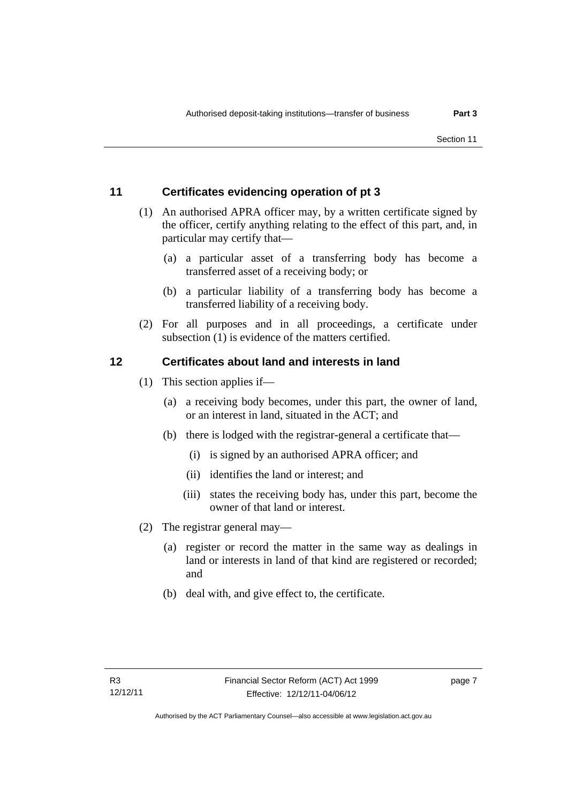# <span id="page-10-0"></span>**11 Certificates evidencing operation of pt 3**

- (1) An authorised APRA officer may, by a written certificate signed by the officer, certify anything relating to the effect of this part, and, in particular may certify that—
	- (a) a particular asset of a transferring body has become a transferred asset of a receiving body; or
	- (b) a particular liability of a transferring body has become a transferred liability of a receiving body.
- (2) For all purposes and in all proceedings, a certificate under subsection (1) is evidence of the matters certified.

# <span id="page-10-1"></span>**12 Certificates about land and interests in land**

- (1) This section applies if—
	- (a) a receiving body becomes, under this part, the owner of land, or an interest in land, situated in the ACT; and
	- (b) there is lodged with the registrar-general a certificate that—
		- (i) is signed by an authorised APRA officer; and
		- (ii) identifies the land or interest; and
		- (iii) states the receiving body has, under this part, become the owner of that land or interest.
- (2) The registrar general may—
	- (a) register or record the matter in the same way as dealings in land or interests in land of that kind are registered or recorded; and
	- (b) deal with, and give effect to, the certificate.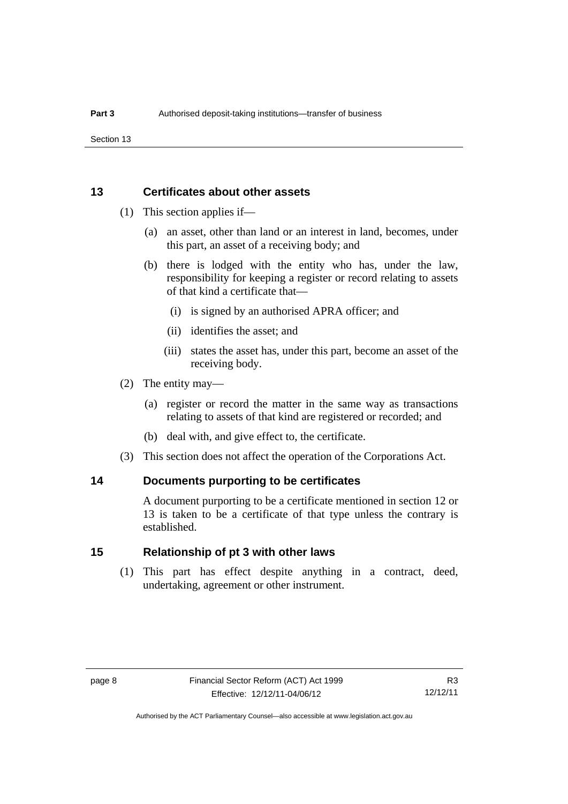Section 13

### <span id="page-11-0"></span>**13 Certificates about other assets**

- (1) This section applies if—
	- (a) an asset, other than land or an interest in land, becomes, under this part, an asset of a receiving body; and
	- (b) there is lodged with the entity who has, under the law, responsibility for keeping a register or record relating to assets of that kind a certificate that—
		- (i) is signed by an authorised APRA officer; and
		- (ii) identifies the asset; and
		- (iii) states the asset has, under this part, become an asset of the receiving body.
- (2) The entity may—
	- (a) register or record the matter in the same way as transactions relating to assets of that kind are registered or recorded; and
	- (b) deal with, and give effect to, the certificate.
- (3) This section does not affect the operation of the Corporations Act.

#### <span id="page-11-1"></span>**14 Documents purporting to be certificates**

A document purporting to be a certificate mentioned in section 12 or 13 is taken to be a certificate of that type unless the contrary is established.

# <span id="page-11-2"></span>**15 Relationship of pt 3 with other laws**

(1) This part has effect despite anything in a contract, deed, undertaking, agreement or other instrument.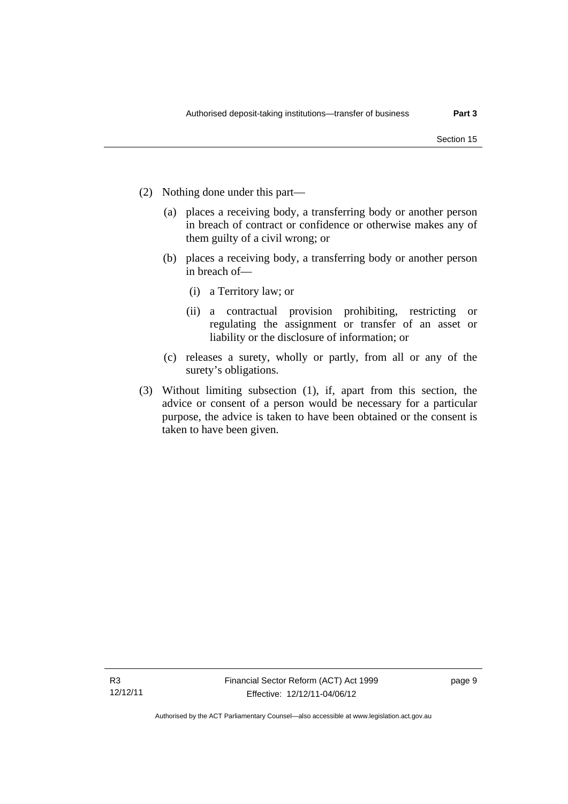- (2) Nothing done under this part—
	- (a) places a receiving body, a transferring body or another person in breach of contract or confidence or otherwise makes any of them guilty of a civil wrong; or
	- (b) places a receiving body, a transferring body or another person in breach of—
		- (i) a Territory law; or
		- (ii) a contractual provision prohibiting, restricting or regulating the assignment or transfer of an asset or liability or the disclosure of information; or
	- (c) releases a surety, wholly or partly, from all or any of the surety's obligations.
- (3) Without limiting subsection (1), if, apart from this section, the advice or consent of a person would be necessary for a particular purpose, the advice is taken to have been obtained or the consent is taken to have been given.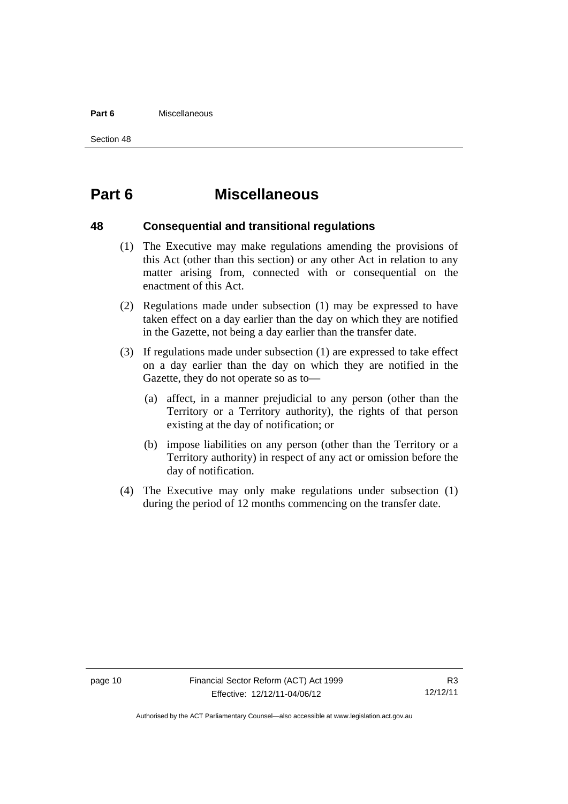#### **Part 6** Miscellaneous

Section 48

# <span id="page-13-0"></span>**Part 6 Miscellaneous**

### <span id="page-13-1"></span>**48 Consequential and transitional regulations**

- (1) The Executive may make regulations amending the provisions of this Act (other than this section) or any other Act in relation to any matter arising from, connected with or consequential on the enactment of this Act.
- (2) Regulations made under subsection (1) may be expressed to have taken effect on a day earlier than the day on which they are notified in the Gazette, not being a day earlier than the transfer date.
- (3) If regulations made under subsection (1) are expressed to take effect on a day earlier than the day on which they are notified in the Gazette, they do not operate so as to—
	- (a) affect, in a manner prejudicial to any person (other than the Territory or a Territory authority), the rights of that person existing at the day of notification; or
	- (b) impose liabilities on any person (other than the Territory or a Territory authority) in respect of any act or omission before the day of notification.
- (4) The Executive may only make regulations under subsection (1) during the period of 12 months commencing on the transfer date.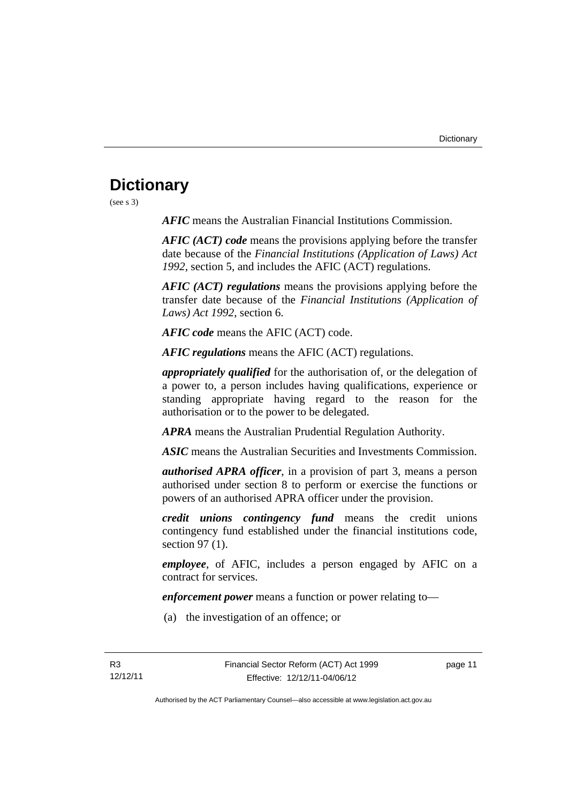# <span id="page-14-0"></span>**Dictionary**

(see s 3)

*AFIC* means the Australian Financial Institutions Commission.

*AFIC (ACT) code* means the provisions applying before the transfer date because of the *Financial Institutions (Application of Laws) Act 1992*, section 5, and includes the AFIC (ACT) regulations.

*AFIC (ACT) regulations* means the provisions applying before the transfer date because of the *Financial Institutions (Application of Laws) Act 1992*, section 6.

*AFIC code* means the AFIC (ACT) code.

*AFIC regulations* means the AFIC (ACT) regulations.

*appropriately qualified* for the authorisation of, or the delegation of a power to, a person includes having qualifications, experience or standing appropriate having regard to the reason for the authorisation or to the power to be delegated.

*APRA* means the Australian Prudential Regulation Authority.

*ASIC* means the Australian Securities and Investments Commission.

*authorised APRA officer*, in a provision of part 3, means a person authorised under section 8 to perform or exercise the functions or powers of an authorised APRA officer under the provision.

*credit unions contingency fund* means the credit unions contingency fund established under the financial institutions code, section 97 (1).

*employee*, of AFIC, includes a person engaged by AFIC on a contract for services.

*enforcement power* means a function or power relating to—

(a) the investigation of an offence; or

page 11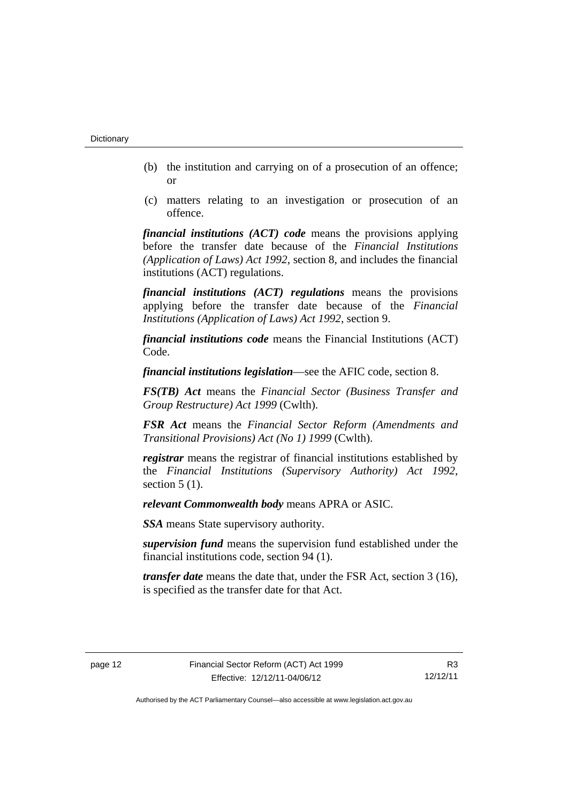- (b) the institution and carrying on of a prosecution of an offence; or
- (c) matters relating to an investigation or prosecution of an offence.

*financial institutions (ACT) code* means the provisions applying before the transfer date because of the *Financial Institutions (Application of Laws) Act 1992*, section 8, and includes the financial institutions (ACT) regulations.

*financial institutions (ACT) regulations* means the provisions applying before the transfer date because of the *Financial Institutions (Application of Laws) Act 1992*, section 9.

*financial institutions code* means the Financial Institutions (ACT) Code.

*financial institutions legislation*—see the AFIC code, section 8.

*FS(TB) Act* means the *Financial Sector (Business Transfer and Group Restructure) Act 1999* (Cwlth).

*FSR Act* means the *Financial Sector Reform (Amendments and Transitional Provisions) Act (No 1) 1999* (Cwlth).

*registrar* means the registrar of financial institutions established by the *Financial Institutions (Supervisory Authority) Act 1992*, section  $5(1)$ .

*relevant Commonwealth body* means APRA or ASIC.

*SSA* means State supervisory authority.

*supervision fund* means the supervision fund established under the financial institutions code, section 94 (1).

*transfer date* means the date that, under the FSR Act, section 3 (16), is specified as the transfer date for that Act.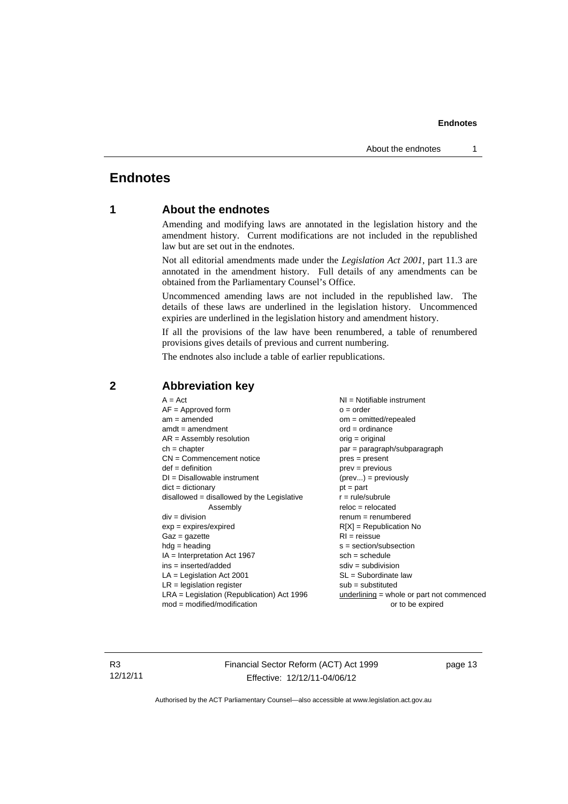# <span id="page-16-0"></span>**Endnotes**

## **1 About the endnotes**

Amending and modifying laws are annotated in the legislation history and the amendment history. Current modifications are not included in the republished law but are set out in the endnotes.

Not all editorial amendments made under the *Legislation Act 2001*, part 11.3 are annotated in the amendment history. Full details of any amendments can be obtained from the Parliamentary Counsel's Office.

Uncommenced amending laws are not included in the republished law. The details of these laws are underlined in the legislation history. Uncommenced expiries are underlined in the legislation history and amendment history.

If all the provisions of the law have been renumbered, a table of renumbered provisions gives details of previous and current numbering.

The endnotes also include a table of earlier republications.

| $A = Act$                                    | $NI =$ Notifiable instrument              |
|----------------------------------------------|-------------------------------------------|
| $AF =$ Approved form                         | $o = order$                               |
| $am = amended$                               | om = omitted/repealed                     |
| $amdt = amendment$                           | $ord = ordinance$                         |
| $AR = Assembly resolution$                   | $orig = original$                         |
| $ch = chapter$                               | par = paragraph/subparagraph              |
| $CN =$ Commencement notice                   | $pres = present$                          |
| $def = definition$                           | $prev = previous$                         |
| $DI = Disallowable instrument$               | $(\text{prev}) = \text{previously}$       |
| $dict = dictionary$                          | $pt = part$                               |
| $disallowed = disallowed by the Legislative$ | $r = rule/subrule$                        |
| Assembly                                     | $reloc = relocated$                       |
| $div = division$                             | $renum = renumbered$                      |
| $exp = expires/expired$                      | $R[X]$ = Republication No                 |
| $Gaz = gazette$                              | $RI = reissue$                            |
| $hdg = heading$                              | $s = section/subsection$                  |
| $IA = Interpretation Act 1967$               | $sch = schedule$                          |
| $ins = inserted/added$                       | $sdiv = subdivision$                      |
| $LA =$ Legislation Act 2001                  | $SL = Subordinate$ law                    |
| $LR =$ legislation register                  | $sub =$ substituted                       |
|                                              |                                           |
| $LRA =$ Legislation (Republication) Act 1996 | underlining = whole or part not commenced |
| $mod = modified/modification$                | or to be expired                          |
|                                              |                                           |

### <span id="page-16-2"></span>**2 Abbreviation key**

R3 12/12/11 Financial Sector Reform (ACT) Act 1999 Effective: 12/12/11-04/06/12

page 13

<span id="page-16-1"></span>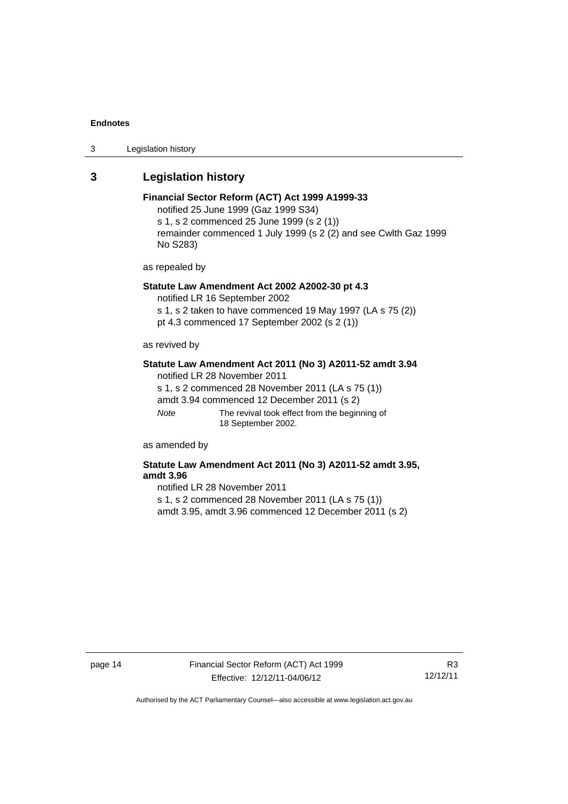3 Legislation history

#### <span id="page-17-0"></span>**3 Legislation history**

#### **Financial Sector Reform (ACT) Act 1999 A1999-33**  notified 25 June 1999 (Gaz 1999 S34) s 1, s 2 commenced 25 June 1999 (s 2 (1)) remainder commenced 1 July 1999 (s 2 (2) and see Cwlth Gaz 1999

as repealed by

No S283)

## **Statute Law Amendment Act 2002 A2002-30 pt 4.3**

notified LR 16 September 2002

s 1, s 2 taken to have commenced 19 May 1997 (LA s 75 (2)) pt 4.3 commenced 17 September 2002 (s 2 (1))

as revived by

#### **Statute Law Amendment Act 2011 (No 3) A2011-52 amdt 3.94**

notified LR 28 November 2011 s 1, s 2 commenced 28 November 2011 (LA s 75 (1)) amdt 3.94 commenced 12 December 2011 (s 2) *Note* The revival took effect from the beginning of 18 September 2002.

as amended by

#### **Statute Law Amendment Act 2011 (No 3) A2011-52 amdt 3.95, amdt 3.96**

notified LR 28 November 2011

s 1, s 2 commenced 28 November 2011 (LA s 75 (1))

amdt 3.95, amdt 3.96 commenced 12 December 2011 (s 2)

page 14 Financial Sector Reform (ACT) Act 1999 Effective: 12/12/11-04/06/12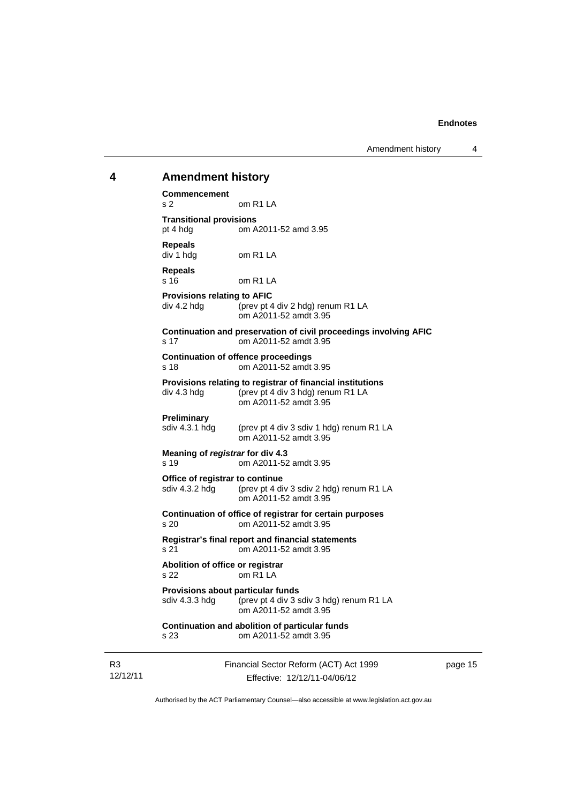<span id="page-18-0"></span>

| 4 | <b>Amendment history</b>                                                                                                                |  |  |  |  |
|---|-----------------------------------------------------------------------------------------------------------------------------------------|--|--|--|--|
|   | <b>Commencement</b><br>om R1 LA<br>s 2                                                                                                  |  |  |  |  |
|   | <b>Transitional provisions</b><br>pt 4 hdg<br>om A2011-52 amd 3.95                                                                      |  |  |  |  |
|   | <b>Repeals</b><br>div 1 hdg<br>om R1 LA                                                                                                 |  |  |  |  |
|   | <b>Repeals</b><br>s 16<br>om R1 LA                                                                                                      |  |  |  |  |
|   | <b>Provisions relating to AFIC</b><br>div 4.2 hdg<br>(prev pt 4 div 2 hdg) renum R1 LA<br>om A2011-52 amdt 3.95                         |  |  |  |  |
|   | Continuation and preservation of civil proceedings involving AFIC<br>om A2011-52 amdt 3.95<br>s 17                                      |  |  |  |  |
|   | <b>Continuation of offence proceedings</b><br>om A2011-52 amdt 3.95<br>s 18                                                             |  |  |  |  |
|   | Provisions relating to registrar of financial institutions<br>(prev pt 4 div 3 hdg) renum R1 LA<br>div 4.3 hdg<br>om A2011-52 amdt 3.95 |  |  |  |  |
|   | Preliminary<br>sdiv 4.3.1 hdg<br>(prev pt 4 div 3 sdiv 1 hdg) renum R1 LA<br>om A2011-52 amdt 3.95                                      |  |  |  |  |
|   | Meaning of registrar for div 4.3<br>s 19<br>om A2011-52 amdt 3.95                                                                       |  |  |  |  |
|   | Office of registrar to continue<br>sdiv 4.3.2 hdg<br>(prev pt 4 div 3 sdiv 2 hdg) renum R1 LA<br>om A2011-52 amdt 3.95                  |  |  |  |  |
|   | Continuation of office of registrar for certain purposes<br>om A2011-52 amdt 3.95<br>s 20                                               |  |  |  |  |
|   | Registrar's final report and financial statements<br>om A2011-52 amdt 3.95<br>s 21                                                      |  |  |  |  |
|   | Abolition of office or registrar<br>om R <sub>1</sub> LA<br>s 22                                                                        |  |  |  |  |
|   | Provisions about particular funds<br>sdiv 4.3.3 hdg<br>(prev pt 4 div 3 sdiv 3 hdg) renum R1 LA<br>om A2011-52 amdt 3.95                |  |  |  |  |
|   | Continuation and abolition of particular funds<br>om A2011-52 amdt 3.95<br>s 23                                                         |  |  |  |  |
|   |                                                                                                                                         |  |  |  |  |

R3 12/12/11 Financial Sector Reform (ACT) Act 1999 Effective: 12/12/11-04/06/12

page 15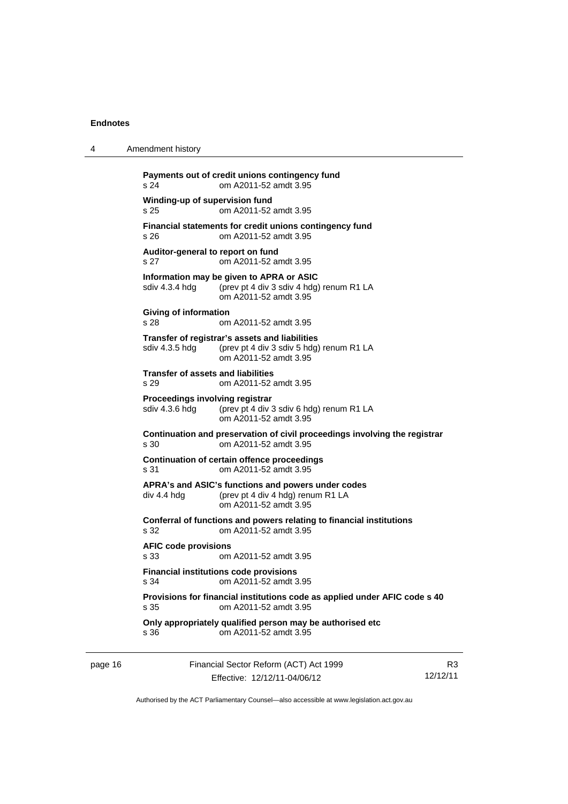| 4       | Amendment history                                                                                                                     |
|---------|---------------------------------------------------------------------------------------------------------------------------------------|
|         | Payments out of credit unions contingency fund<br>om A2011-52 amdt 3.95<br>s 24                                                       |
|         | Winding-up of supervision fund<br>s 25<br>om A2011-52 amdt 3.95                                                                       |
|         | Financial statements for credit unions contingency fund<br>om A2011-52 amdt 3.95<br>s 26                                              |
|         | Auditor-general to report on fund<br>s 27<br>om A2011-52 amdt 3.95                                                                    |
|         | Information may be given to APRA or ASIC<br>sdiv 4.3.4 hdg<br>(prev pt 4 div 3 sdiv 4 hdg) renum R1 LA<br>om A2011-52 amdt 3.95       |
|         | Giving of information<br>s 28<br>om A2011-52 amdt 3.95                                                                                |
|         | Transfer of registrar's assets and liabilities<br>(prev pt 4 div 3 sdiv 5 hdg) renum R1 LA<br>sdiv 4.3.5 hdg<br>om A2011-52 amdt 3.95 |
|         | <b>Transfer of assets and liabilities</b><br>s 29<br>om A2011-52 amdt 3.95                                                            |
|         | <b>Proceedings involving registrar</b><br>sdiv 4.3.6 hdg<br>(prev pt 4 div 3 sdiv 6 hdg) renum R1 LA<br>om A2011-52 amdt 3.95         |
|         | Continuation and preservation of civil proceedings involving the registrar<br>s 30<br>om A2011-52 amdt 3.95                           |
|         | Continuation of certain offence proceedings<br>om A2011-52 amdt 3.95<br>s 31                                                          |
|         | APRA's and ASIC's functions and powers under codes<br>(prev pt 4 div 4 hdg) renum R1 LA<br>div 4.4 hdg<br>om A2011-52 amdt 3.95       |
|         | Conferral of functions and powers relating to financial institutions<br>om A2011-52 amdt 3.95<br>s 32                                 |
|         | <b>AFIC code provisions</b><br>s.33<br>om A2011-52 amdt 3.95                                                                          |
|         | <b>Financial institutions code provisions</b><br>om A2011-52 amdt 3.95<br>s 34                                                        |
|         | Provisions for financial institutions code as applied under AFIC code s 40<br>om A2011-52 amdt 3.95<br>s 35                           |
|         | Only appropriately qualified person may be authorised etc<br>om A2011-52 amdt 3.95<br>s 36                                            |
| page 16 | Financial Sector Reform (ACT) Act 1999                                                                                                |

Effective: 12/12/11-04/06/12 Authorised by the ACT Parliamentary Counsel—also accessible at www.legislation.act.gov.au

R3 12/12/11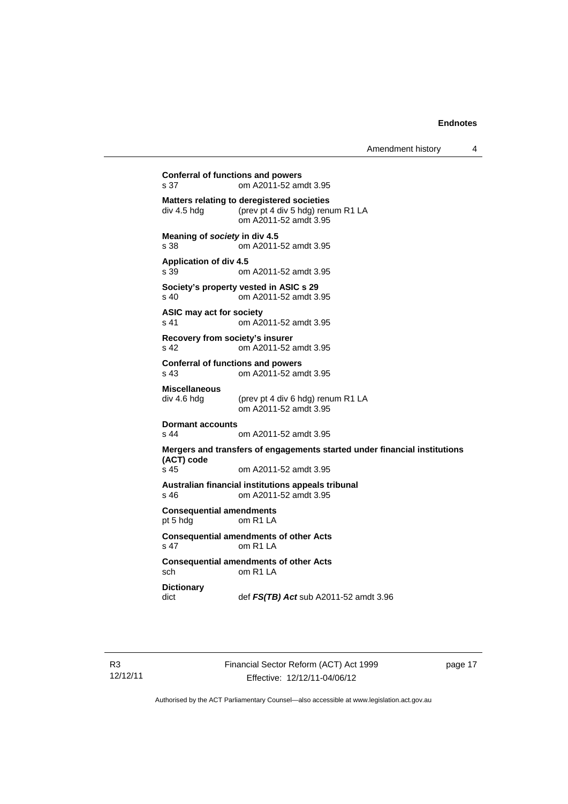```
Conferral of functions and powers 
s 37 om A2011-52 amdt 3.95 
Matters relating to deregistered societies 
div 4.5 hdg (prev pt 4 div 5 hdg) renum R1 LA 
                 om A2011-52 amdt 3.95 
Meaning of society in div 4.5 
s 38 om A2011-52 amdt 3.95 
Application of div 4.5 
s 39 om A2011-52 amdt 3.95 
Society's property vested in ASIC s 29 
s 40 om A2011-52 amdt 3.95 
ASIC may act for society 
s 41 om A2011-52 amdt 3.95 
Recovery from society's insurer 
s 42 om A2011-52 amdt 3.95 
Conferral of functions and powers 
s 43 om A2011-52 amdt 3.95 
Miscellaneous 
div 4.6 hdg (prev pt 4 div 6 hdg) renum R1 LA 
                 om A2011-52 amdt 3.95 
Dormant accounts 
                om A2011-52 amdt 3.95
Mergers and transfers of engagements started under financial institutions 
(ACT) code 
                om A2011-52 amdt 3.95
Australian financial institutions appeals tribunal 
s 46 om A2011-52 amdt 3.95 
Consequential amendments 
pt 5 hdg om R1 LA 
Consequential amendments of other Acts 
s 47 om R1 LA 
Consequential amendments of other Acts 
sch om R1 LA 
Dictionary 
dict def FS(TB) Act sub A2011-52 amdt 3.96
```
page 17